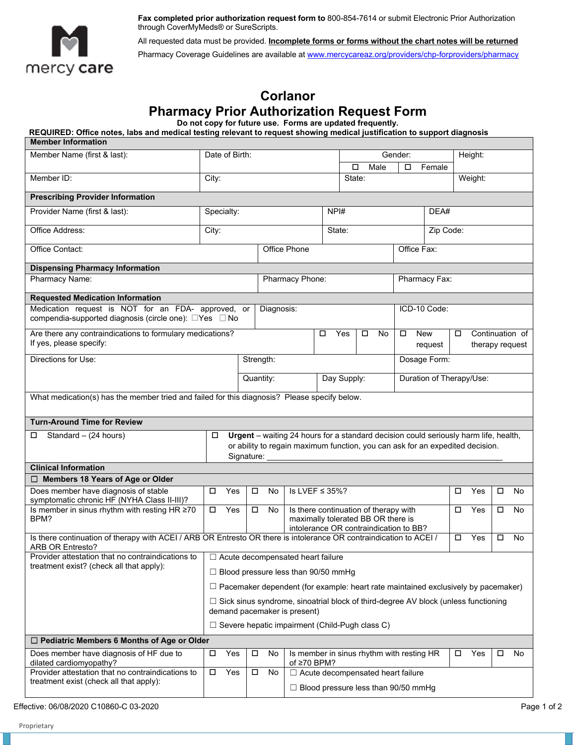

**Fax completed prior authorization request form to** 800-854-7614 or submit Electronic Prior Authorization through CoverMyMeds® or SureScripts.

All requested data must be provided. **Incomplete forms or forms without the chart notes will be returned**  Pharmacy Coverage Guidelines are available at www.mercycareaz.org/providers/chp-forproviders/pharmacy

## **Corlanor Pharmacy Prior Authorization Request Form**

**Do not copy for future use. Forms are updated frequently.**

**REQUIRED: Office notes, labs and medical testing relevant to request showing medical justification to support diagnosis** 

| <b>Member Information</b>                                                                                                                                          |                                                                                                                                                                                          |                                          |           |                                                                                                                             |                                                                    |                                                             |         |                          |  |               |                                    |         |         |  |  |  |  |
|--------------------------------------------------------------------------------------------------------------------------------------------------------------------|------------------------------------------------------------------------------------------------------------------------------------------------------------------------------------------|------------------------------------------|-----------|-----------------------------------------------------------------------------------------------------------------------------|--------------------------------------------------------------------|-------------------------------------------------------------|---------|--------------------------|--|---------------|------------------------------------|---------|---------|--|--|--|--|
| Member Name (first & last):                                                                                                                                        | Date of Birth:                                                                                                                                                                           |                                          |           |                                                                                                                             |                                                                    |                                                             | Gender: |                          |  |               |                                    |         | Height: |  |  |  |  |
|                                                                                                                                                                    |                                                                                                                                                                                          |                                          |           |                                                                                                                             |                                                                    | Male<br>□<br>□<br>Female                                    |         |                          |  |               |                                    |         |         |  |  |  |  |
| Member ID:                                                                                                                                                         |                                                                                                                                                                                          | City:                                    |           |                                                                                                                             |                                                                    |                                                             | State:  |                          |  |               |                                    | Weight: |         |  |  |  |  |
| <b>Prescribing Provider Information</b>                                                                                                                            |                                                                                                                                                                                          |                                          |           |                                                                                                                             |                                                                    |                                                             |         |                          |  |               |                                    |         |         |  |  |  |  |
| Provider Name (first & last):                                                                                                                                      | Specialty:                                                                                                                                                                               |                                          |           |                                                                                                                             |                                                                    | NPI#                                                        |         |                          |  |               | DEA#                               |         |         |  |  |  |  |
| Office Address:                                                                                                                                                    | City:                                                                                                                                                                                    |                                          |           |                                                                                                                             |                                                                    |                                                             | State:  |                          |  |               | Zip Code:                          |         |         |  |  |  |  |
| Office Contact:                                                                                                                                                    |                                                                                                                                                                                          |                                          |           | <b>Office Phone</b>                                                                                                         |                                                                    |                                                             |         |                          |  | Office Fax:   |                                    |         |         |  |  |  |  |
| <b>Dispensing Pharmacy Information</b>                                                                                                                             |                                                                                                                                                                                          |                                          |           |                                                                                                                             |                                                                    |                                                             |         |                          |  |               |                                    |         |         |  |  |  |  |
| Pharmacy Name:                                                                                                                                                     |                                                                                                                                                                                          |                                          |           |                                                                                                                             | Pharmacy Phone:                                                    |                                                             |         |                          |  | Pharmacy Fax: |                                    |         |         |  |  |  |  |
| <b>Requested Medication Information</b>                                                                                                                            |                                                                                                                                                                                          |                                          |           |                                                                                                                             |                                                                    |                                                             |         |                          |  |               |                                    |         |         |  |  |  |  |
| Medication request is NOT for an FDA- approved, or<br>compendia-supported diagnosis (circle one): □Yes □ No                                                        |                                                                                                                                                                                          |                                          |           |                                                                                                                             | Diagnosis:                                                         |                                                             |         |                          |  |               |                                    |         |         |  |  |  |  |
| Are there any contraindications to formulary medications?<br>If yes, please specify:                                                                               |                                                                                                                                                                                          |                                          |           |                                                                                                                             |                                                                    | Yes<br><b>New</b><br>□<br>No<br>□<br>$\Box$<br>□<br>request |         |                          |  |               | Continuation of<br>therapy request |         |         |  |  |  |  |
| Directions for Use:                                                                                                                                                |                                                                                                                                                                                          |                                          | Strength: |                                                                                                                             |                                                                    |                                                             |         |                          |  | Dosage Form:  |                                    |         |         |  |  |  |  |
|                                                                                                                                                                    |                                                                                                                                                                                          |                                          |           | Quantity:                                                                                                                   | Day Supply:                                                        |                                                             |         | Duration of Therapy/Use: |  |               |                                    |         |         |  |  |  |  |
| What medication(s) has the member tried and failed for this diagnosis? Please specify below.                                                                       |                                                                                                                                                                                          |                                          |           |                                                                                                                             |                                                                    |                                                             |         |                          |  |               |                                    |         |         |  |  |  |  |
| <b>Turn-Around Time for Review</b>                                                                                                                                 |                                                                                                                                                                                          |                                          |           |                                                                                                                             |                                                                    |                                                             |         |                          |  |               |                                    |         |         |  |  |  |  |
| Standard - (24 hours)<br>□                                                                                                                                         | Urgent - waiting 24 hours for a standard decision could seriously harm life, health,<br>0<br>or ability to regain maximum function, you can ask for an expedited decision.<br>Signature: |                                          |           |                                                                                                                             |                                                                    |                                                             |         |                          |  |               |                                    |         |         |  |  |  |  |
| <b>Clinical Information</b>                                                                                                                                        |                                                                                                                                                                                          |                                          |           |                                                                                                                             |                                                                    |                                                             |         |                          |  |               |                                    |         |         |  |  |  |  |
| $\Box$ Members 18 Years of Age or Older                                                                                                                            |                                                                                                                                                                                          |                                          |           |                                                                                                                             |                                                                    |                                                             |         |                          |  |               |                                    |         |         |  |  |  |  |
| Does member have diagnosis of stable<br>symptomatic chronic HF (NYHA Class II-III)?                                                                                | □                                                                                                                                                                                        | Yes                                      | $\Box$    | No                                                                                                                          | Is LVEF $\leq$ 35%?<br>□                                           |                                                             |         |                          |  | Yes           | □                                  | No      |         |  |  |  |  |
| Is member in sinus rhythm with resting HR ≥70<br>BPM?                                                                                                              | $\Box$                                                                                                                                                                                   | Yes                                      | $\Box$    | Is there continuation of therapy with<br>No<br>maximally tolerated BB OR there is<br>intolerance OR contraindication to BB? |                                                                    |                                                             |         |                          |  | □             | Yes                                | □       | No      |  |  |  |  |
| Is there continuation of therapy with ACEI / ARB OR Entresto OR there is intolerance OR contraindication to ACEI /<br>Yes<br>$\Box$<br>□<br>No<br>ARB OR Entresto? |                                                                                                                                                                                          |                                          |           |                                                                                                                             |                                                                    |                                                             |         |                          |  |               |                                    |         |         |  |  |  |  |
| Provider attestation that no contraindications to                                                                                                                  |                                                                                                                                                                                          | $\Box$ Acute decompensated heart failure |           |                                                                                                                             |                                                                    |                                                             |         |                          |  |               |                                    |         |         |  |  |  |  |
| treatment exist? (check all that apply):                                                                                                                           | $\Box$ Blood pressure less than 90/50 mmHg                                                                                                                                               |                                          |           |                                                                                                                             |                                                                    |                                                             |         |                          |  |               |                                    |         |         |  |  |  |  |
| $\Box$ Pacemaker dependent (for example: heart rate maintained exclusively by pacemaker)                                                                           |                                                                                                                                                                                          |                                          |           |                                                                                                                             |                                                                    |                                                             |         |                          |  |               |                                    |         |         |  |  |  |  |
|                                                                                                                                                                    |                                                                                                                                                                                          |                                          |           |                                                                                                                             |                                                                    |                                                             |         |                          |  |               |                                    |         |         |  |  |  |  |
|                                                                                                                                                                    | □ Sick sinus syndrome, sinoatrial block of third-degree AV block (unless functioning<br>demand pacemaker is present)                                                                     |                                          |           |                                                                                                                             |                                                                    |                                                             |         |                          |  |               |                                    |         |         |  |  |  |  |
|                                                                                                                                                                    | $\Box$ Severe hepatic impairment (Child-Pugh class C)                                                                                                                                    |                                          |           |                                                                                                                             |                                                                    |                                                             |         |                          |  |               |                                    |         |         |  |  |  |  |
| □ Pediatric Members 6 Months of Age or Older                                                                                                                       |                                                                                                                                                                                          |                                          |           |                                                                                                                             |                                                                    |                                                             |         |                          |  |               |                                    |         |         |  |  |  |  |
| Does member have diagnosis of HF due to<br>dilated cardiomyopathy?                                                                                                 | $\Box$                                                                                                                                                                                   | Yes                                      | $\Box$    | No                                                                                                                          | Is member in sinus rhythm with resting HR<br>$\Box$<br>of ≥70 BPM? |                                                             |         |                          |  | Yes           | □                                  | No      |         |  |  |  |  |
| Provider attestation that no contraindications to                                                                                                                  | $\Box$                                                                                                                                                                                   | Yes                                      | $\Box$    | No                                                                                                                          |                                                                    | $\Box$ Acute decompensated heart failure                    |         |                          |  |               |                                    |         |         |  |  |  |  |
| treatment exist (check all that apply):                                                                                                                            |                                                                                                                                                                                          |                                          |           |                                                                                                                             | $\Box$ Blood pressure less than 90/50 mmHg                         |                                                             |         |                          |  |               |                                    |         |         |  |  |  |  |

Effective: 06/08/2020 C10860-C 03-2020 Page 1 of 2